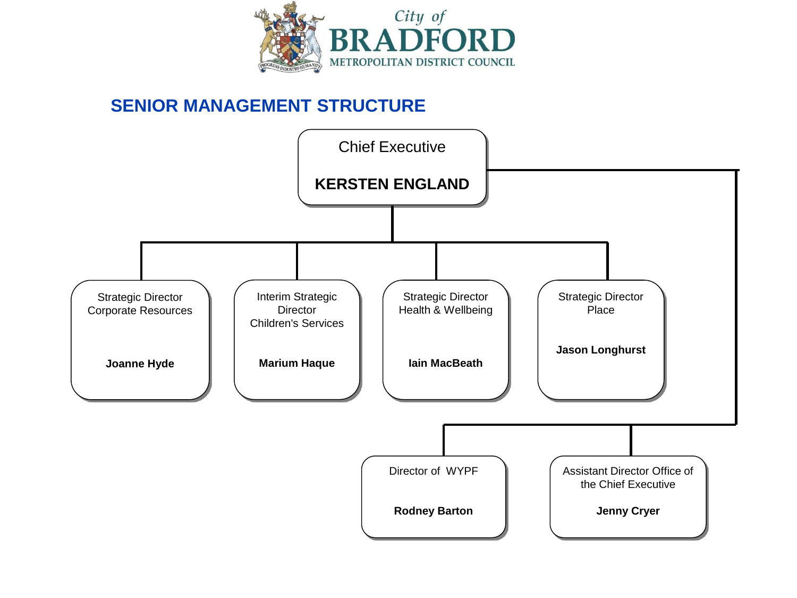

#### **SENIOR MANAGEMENT STRUCTURE**

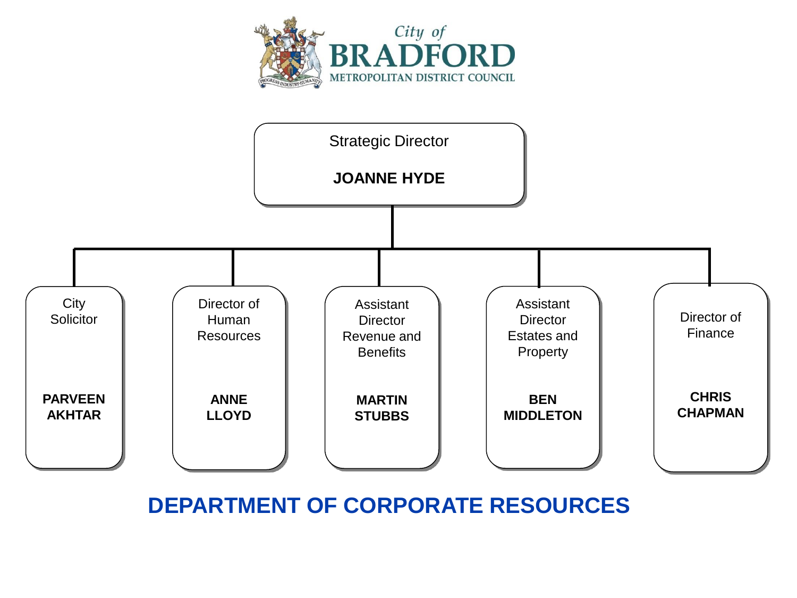



**DEPARTMENT OF CORPORATE RESOURCES**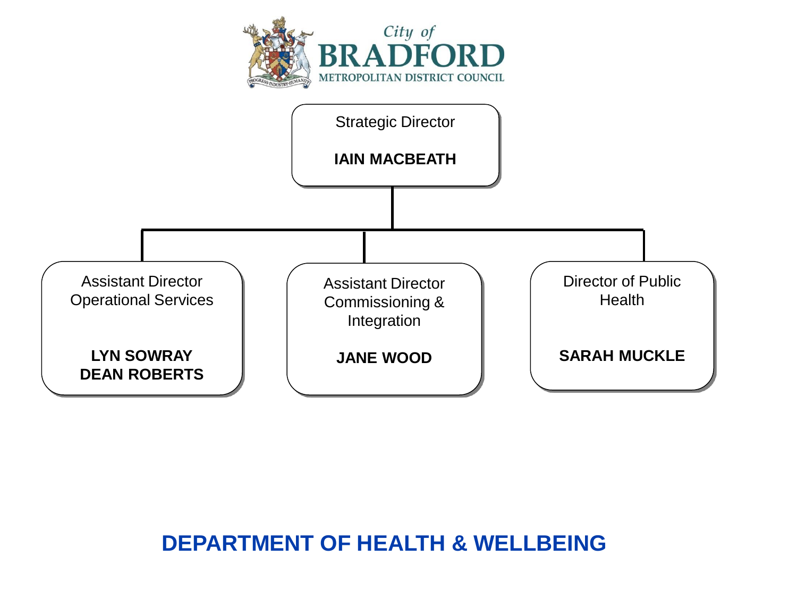

## **DEPARTMENT OF HEALTH & WELLBEING**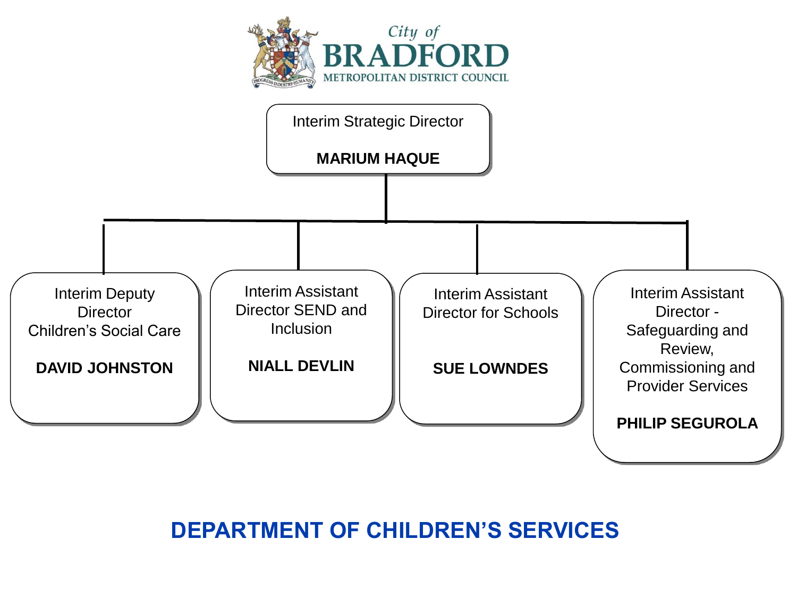



## **DEPARTMENT OF CHILDREN'S SERVICES**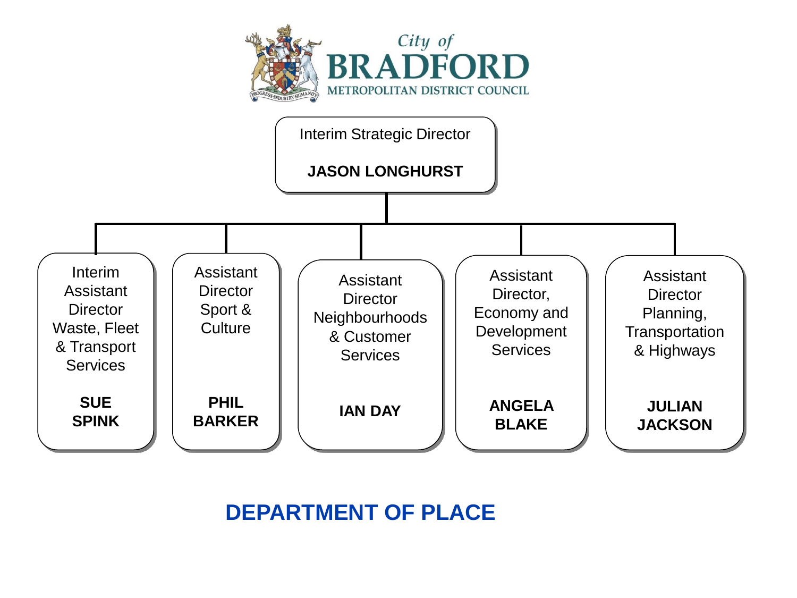



# **DEPARTMENT OF PLACE**